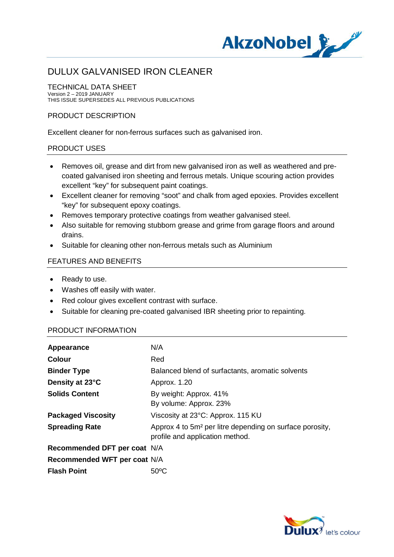

# DULUX GALVANISED IRON CLEANER

#### TECHNICAL DATA SHEET Version 2 – 2019 JANUARY THIS ISSUE SUPERSEDES ALL PREVIOUS PUBLICATIONS

### PRODUCT DESCRIPTION

Excellent cleaner for non-ferrous surfaces such as galvanised iron.

### PRODUCT USES

- · Removes oil, grease and dirt from new galvanised iron as well as weathered and precoated galvanised iron sheeting and ferrous metals. Unique scouring action provides excellent "key" for subsequent paint coatings.
- · Excellent cleaner for removing "soot" and chalk from aged epoxies. Provides excellent "key" for subsequent epoxy coatings.
- · Removes temporary protective coatings from weather galvanised steel.
- · Also suitable for removing stubborn grease and grime from garage floors and around drains.
- · Suitable for cleaning other non-ferrous metals such as Aluminium

## FEATURES AND BENEFITS

- · Ready to use.
- · Washes off easily with water.
- · Red colour gives excellent contrast with surface.
- · Suitable for cleaning pre-coated galvanised IBR sheeting prior to repainting.

## PRODUCT INFORMATION

| Appearance                   | N/A                                                                                                     |
|------------------------------|---------------------------------------------------------------------------------------------------------|
| <b>Colour</b>                | Red                                                                                                     |
| <b>Binder Type</b>           | Balanced blend of surfactants, aromatic solvents                                                        |
| Density at 23°C              | Approx. 1.20                                                                                            |
| <b>Solids Content</b>        | By weight: Approx. 41%<br>By volume: Approx. 23%                                                        |
| <b>Packaged Viscosity</b>    | Viscosity at 23°C: Approx. 115 KU                                                                       |
| <b>Spreading Rate</b>        | Approx 4 to 5m <sup>2</sup> per litre depending on surface porosity,<br>profile and application method. |
| Recommended DFT per coat N/A |                                                                                                         |
| Recommended WFT per coat N/A |                                                                                                         |
| <b>Flash Point</b>           | $50^{\circ}$ C                                                                                          |

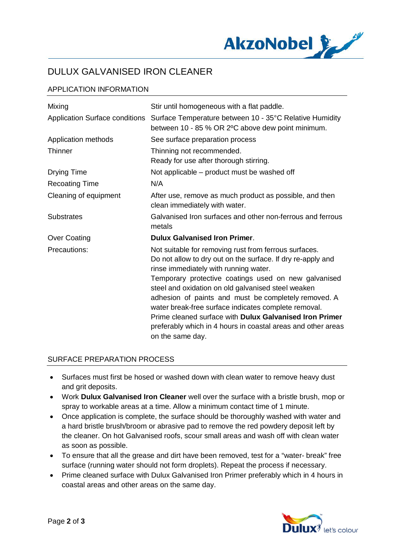

# DULUX GALVANISED IRON CLEANER

# APPLICATION INFORMATION

| Mixing                                | Stir until homogeneous with a flat paddle.                                                                                                                                                                                                                                                                                                                                                                                                                                                                                                 |
|---------------------------------------|--------------------------------------------------------------------------------------------------------------------------------------------------------------------------------------------------------------------------------------------------------------------------------------------------------------------------------------------------------------------------------------------------------------------------------------------------------------------------------------------------------------------------------------------|
| <b>Application Surface conditions</b> | Surface Temperature between 10 - 35°C Relative Humidity<br>between 10 - 85 % OR 2°C above dew point minimum.                                                                                                                                                                                                                                                                                                                                                                                                                               |
| Application methods                   | See surface preparation process                                                                                                                                                                                                                                                                                                                                                                                                                                                                                                            |
| <b>Thinner</b>                        | Thinning not recommended.<br>Ready for use after thorough stirring.                                                                                                                                                                                                                                                                                                                                                                                                                                                                        |
| <b>Drying Time</b>                    | Not applicable – product must be washed off                                                                                                                                                                                                                                                                                                                                                                                                                                                                                                |
| <b>Recoating Time</b>                 | N/A                                                                                                                                                                                                                                                                                                                                                                                                                                                                                                                                        |
| Cleaning of equipment                 | After use, remove as much product as possible, and then<br>clean immediately with water.                                                                                                                                                                                                                                                                                                                                                                                                                                                   |
| <b>Substrates</b>                     | Galvanised Iron surfaces and other non-ferrous and ferrous<br>metals                                                                                                                                                                                                                                                                                                                                                                                                                                                                       |
| <b>Over Coating</b>                   | <b>Dulux Galvanised Iron Primer.</b>                                                                                                                                                                                                                                                                                                                                                                                                                                                                                                       |
| Precautions:                          | Not suitable for removing rust from ferrous surfaces.<br>Do not allow to dry out on the surface. If dry re-apply and<br>rinse immediately with running water.<br>Temporary protective coatings used on new galvanised<br>steel and oxidation on old galvanised steel weaken<br>adhesion of paints and must be completely removed. A<br>water break-free surface indicates complete removal.<br>Prime cleaned surface with Dulux Galvanised Iron Primer<br>preferably which in 4 hours in coastal areas and other areas<br>on the same day. |

### SURFACE PREPARATION PROCESS

- · Surfaces must first be hosed or washed down with clean water to remove heavy dust and grit deposits.
- · Work **Dulux Galvanised Iron Cleaner** well over the surface with a bristle brush, mop or spray to workable areas at a time. Allow a minimum contact time of 1 minute.
- Once application is complete, the surface should be thoroughly washed with water and a hard bristle brush/broom or abrasive pad to remove the red powdery deposit left by the cleaner. On hot Galvanised roofs, scour small areas and wash off with clean water as soon as possible.
- · To ensure that all the grease and dirt have been removed, test for a "water- break" free surface (running water should not form droplets). Repeat the process if necessary.
- · Prime cleaned surface with Dulux Galvanised Iron Primer preferably which in 4 hours in coastal areas and other areas on the same day.